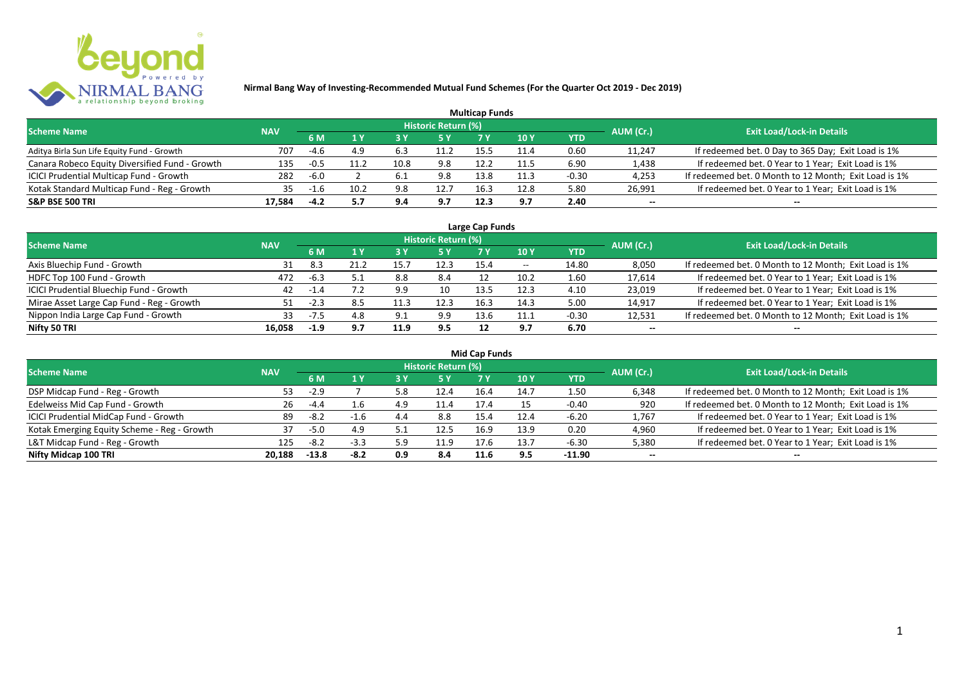

|                                                |            |        |      |      |                     | <b>Multicap Funds</b> |      |         |           |                                                       |
|------------------------------------------------|------------|--------|------|------|---------------------|-----------------------|------|---------|-----------|-------------------------------------------------------|
| <b>Scheme Name</b>                             | <b>NAV</b> |        |      |      | Historic Return (%) |                       |      |         | AUM (Cr.) | <b>Exit Load/Lock-in Details</b>                      |
|                                                |            | 6 M    |      |      |                     |                       | 10 Y | YTD     |           |                                                       |
| Aditya Birla Sun Life Equity Fund - Growth     | 707        | -4.6   | 4.9  | 6.3  | 11.2                | 15.5                  | 11.4 | 0.60    | 11,247    | If redeemed bet. 0 Day to 365 Day; Exit Load is 1%    |
| Canara Robeco Equity Diversified Fund - Growth | 135        | -0.5   |      | 10.8 | 9.8                 | 12.2                  | 11.5 | 6.90    | 1,438     | If redeemed bet. 0 Year to 1 Year; Exit Load is 1%    |
| ICICI Prudential Multicap Fund - Growth        | 282        | $-6.0$ |      | -6.1 | 9.8                 | 13.8                  | 11.3 | $-0.30$ | 4,253     | If redeemed bet. 0 Month to 12 Month; Exit Load is 1% |
| Kotak Standard Multicap Fund - Reg - Growth    | 35         | $-1.6$ | 10.2 | 9.8  | 12.7                | 16.3                  | 12.8 | 5.80    | 26,991    | If redeemed bet. 0 Year to 1 Year; Exit Load is 1%    |
| <b>S&amp;P BSE 500 TRI</b>                     | 17.584     | -4.2   | 5.7  | 9.4  | 9.7                 | 12.3                  | 9.7  | 2.40    | --        | $- -$                                                 |

| Large Cap Funds                           |            |           |      |      |                            |      |                          |         |           |                                                       |  |  |  |
|-------------------------------------------|------------|-----------|------|------|----------------------------|------|--------------------------|---------|-----------|-------------------------------------------------------|--|--|--|
| <b>Scheme Name</b>                        | <b>NAV</b> |           |      |      | <b>Historic Return (%)</b> |      |                          |         | AUM (Cr.) | <b>Exit Load/Lock-in Details</b>                      |  |  |  |
|                                           |            | <b>6M</b> |      |      | <b>5 Y</b>                 | 7 Y  | 10Y                      | YTD     |           |                                                       |  |  |  |
| Axis Bluechip Fund - Growth               | 31         | 8.3       | 21.2 |      | 12.3                       | 15.4 | $\overline{\phantom{a}}$ | 14.80   | 8,050     | If redeemed bet. 0 Month to 12 Month; Exit Load is 1% |  |  |  |
| HDFC Top 100 Fund - Growth                | 472        | -6.3      |      | 8.8  | 8.4                        |      | 10.2                     | 1.60    | 17,614    | If redeemed bet. 0 Year to 1 Year; Exit Load is 1%    |  |  |  |
| ICICI Prudential Bluechip Fund - Growth   | 42         | $-1.4$    |      | 9.9  | 10                         | 13.5 | 12.3                     | 4.10    | 23,019    | If redeemed bet. 0 Year to 1 Year; Exit Load is 1%    |  |  |  |
| Mirae Asset Large Cap Fund - Reg - Growth |            |           | 8.5  |      | 12.3                       | 16.3 | 14.3                     | 5.00    | 14,917    | If redeemed bet. 0 Year to 1 Year; Exit Load is 1%    |  |  |  |
| Nippon India Large Cap Fund - Growth      | 33.        |           | 4.8  | q.   | 9.9                        | 13.6 | 11.1                     | $-0.30$ | 12,531    | If redeemed bet. 0 Month to 12 Month; Exit Load is 1% |  |  |  |
| Nifty 50 TRI                              | 16.058     | $-1.9$    | 9.7  | 11.9 | 9.5                        |      | 9.7                      | 6.70    | $- -$     | $- -$                                                 |  |  |  |

| <b>Mid Cap Funds</b>                        |            |         |        |     |                            |      |      |            |           |                                                       |  |  |  |  |
|---------------------------------------------|------------|---------|--------|-----|----------------------------|------|------|------------|-----------|-------------------------------------------------------|--|--|--|--|
| <b>Scheme Name</b>                          | <b>NAV</b> |         |        |     | <b>Historic Return (%)</b> |      |      |            | AUM (Cr.) | <b>Exit Load/Lock-in Details</b>                      |  |  |  |  |
|                                             |            | 6 M     | 1 Y    |     | <b>5 Y</b>                 |      | 10 Y | <b>YTD</b> |           |                                                       |  |  |  |  |
| DSP Midcap Fund - Reg - Growth              | 53         | $-2.9$  |        | 5.8 | 12.4                       | 16.4 | 14.7 | 1.50       | 6,348     | If redeemed bet. 0 Month to 12 Month; Exit Load is 1% |  |  |  |  |
| Edelweiss Mid Cap Fund - Growth             | 26         | $-4.4$  | 1.6    | 4.9 | 11.4                       | 17.4 |      | -0.40      | 920       | If redeemed bet. 0 Month to 12 Month; Exit Load is 1% |  |  |  |  |
| ICICI Prudential MidCap Fund - Growth       | 89         | -8.2    | $-1.6$ | 4.4 | 8.8                        | 15.4 | 12.4 | $-6.20$    | 1,767     | If redeemed bet. 0 Year to 1 Year; Exit Load is 1%    |  |  |  |  |
| Kotak Emerging Equity Scheme - Reg - Growth | 37         | $-5.0$  | 4.9    |     | 12.5                       | 16.9 | 13.9 | 0.20       | 4,960     | If redeemed bet. 0 Year to 1 Year; Exit Load is 1%    |  |  |  |  |
| L&T Midcap Fund - Reg - Growth              | 125        | -8.2    | $-3.3$ | 5.9 | 11.9                       | 17.6 | 13.7 | $-6.30$    | 5,380     | If redeemed bet. 0 Year to 1 Year; Exit Load is 1%    |  |  |  |  |
| Nifty Midcap 100 TRI                        | 20.188     | $-13.8$ | $-8.2$ | 0.9 | 8.4                        | 11.6 | 9.5  | $-11.90$   | $- -$     | $- -$                                                 |  |  |  |  |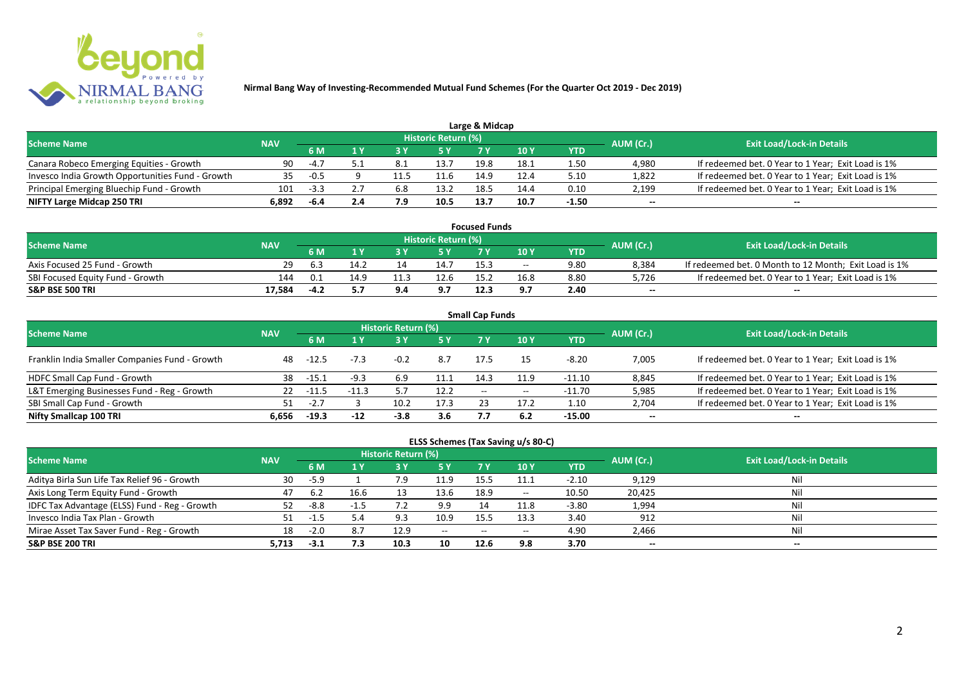

|                                                  |            |        |     |     |                            | Large & Midcap |      |         |           |                                                    |
|--------------------------------------------------|------------|--------|-----|-----|----------------------------|----------------|------|---------|-----------|----------------------------------------------------|
| <b>Scheme Name</b>                               | <b>NAV</b> |        |     |     | <b>Historic Return (%)</b> |                |      |         | AUM (Cr.) | <b>Exit Load/Lock-in Details</b>                   |
|                                                  |            | 6 M    |     |     | 5 Y                        |                |      | YTD     |           |                                                    |
| Canara Robeco Emerging Equities - Growth         | 90         | $-4.7$ |     | 8.1 | 13.7                       | 19.8           | 18.1 | 1.50    | 4.980     | If redeemed bet. 0 Year to 1 Year; Exit Load is 1% |
| Invesco India Growth Opportunities Fund - Growth | 35.        | $-0.5$ |     |     | 11.6                       | 14.9           | 12.4 | 5.10    | 1,822     | If redeemed bet. 0 Year to 1 Year; Exit Load is 1% |
| Principal Emerging Bluechip Fund - Growth        | 101        | $-3.3$ |     | 6.8 | 13.2                       | 18.5           | 14.4 | 0.10    | 2,199     | If redeemed bet. 0 Year to 1 Year; Exit Load is 1% |
| NIFTY Large Midcap 250 TRI                       | 6.892      | -6.4   | 2.4 | 7.9 | 10.5                       | 13.7           | 10.7 | $-1.50$ | $- -$     | $- -$                                              |

| <b>Focused Funds</b>             |            |      |      |     |                            |      |       |      |           |                                                       |  |  |  |
|----------------------------------|------------|------|------|-----|----------------------------|------|-------|------|-----------|-------------------------------------------------------|--|--|--|
| <b>Scheme Name</b>               | <b>NAV</b> |      |      |     | <b>Historic Return (%)</b> |      |       |      | AUM (Cr.) | <b>Exit Load/Lock-in Details</b>                      |  |  |  |
|                                  |            | 6 M  |      |     | 5 Y                        |      | 10 Y  | YTD  |           |                                                       |  |  |  |
| Axis Focused 25 Fund - Growth    | 29.        | -6.3 | 14.2 |     | 14.7                       | 15.5 | $- -$ | 9.80 | 8,384     | If redeemed bet. 0 Month to 12 Month; Exit Load is 1% |  |  |  |
| SBI Focused Equity Fund - Growth | 144        | 0.1  | 14.9 |     | 12.6                       | 15.  | 16.8  | 8.80 | 5,726     | If redeemed bet. 0 Year to 1 Year; Exit Load is 1%    |  |  |  |
| <b>S&amp;P BSE 500 TRI</b>       | 17,584     |      |      | 9.4 | 9.7                        | 12.3 | 9.7   | 2.40 | $-$       | $-$                                                   |  |  |  |

| <b>Small Cap Funds</b>                         |            |         |         |                     |      |                          |       |            |           |                                                    |  |  |  |
|------------------------------------------------|------------|---------|---------|---------------------|------|--------------------------|-------|------------|-----------|----------------------------------------------------|--|--|--|
| <b>Scheme Name</b>                             | <b>NAV</b> |         |         | Historic Return (%) |      |                          |       |            | AUM (Cr.) | <b>Exit Load/Lock-in Details</b>                   |  |  |  |
|                                                |            |         |         |                     | 5 Y  | 7 Y                      | 710Y  | <b>YTD</b> |           |                                                    |  |  |  |
| Franklin India Smaller Companies Fund - Growth | 48         | -12.5   |         | $-0.2$              | 8.7  | 17.5                     | 15    | $-8.20$    | 7,005     | If redeemed bet. 0 Year to 1 Year; Exit Load is 1% |  |  |  |
| HDFC Small Cap Fund - Growth                   | 38         | -15.1   | $-9.3$  | 6.9                 | 11.1 | 14.3                     | 11.9  | -11.10     | 8,845     | If redeemed bet. 0 Year to 1 Year; Exit Load is 1% |  |  |  |
| L&T Emerging Businesses Fund - Reg - Growth    | 22         | -11.5   | $-11.3$ |                     | 12.2 | $\overline{\phantom{a}}$ | $- -$ | -11.70     | 5,985     | If redeemed bet. 0 Year to 1 Year; Exit Load is 1% |  |  |  |
| SBI Small Cap Fund - Growth                    | 51         | $-2.7$  |         | 10.2                | 17.3 |                          | 17.2  | 1.10       | 2,704     | If redeemed bet. 0 Year to 1 Year; Exit Load is 1% |  |  |  |
| Nifty Smallcap 100 TRI                         | 6.656      | $-19.3$ | $-12$   | $-3.8$              | 3.6  |                          | 6.2   | $-15.00$   | $- -$     | --                                                 |  |  |  |

## **ELSS Schemes (Tax Saving u/s 80-C)**

| <b>Scheme Name</b>                            | <b>NAV</b> |        |      | <b>Historic Return (%)</b> |               |       |            |            | AUM (Cr.) | <b>Exit Load/Lock-in Details</b> |
|-----------------------------------------------|------------|--------|------|----------------------------|---------------|-------|------------|------------|-----------|----------------------------------|
|                                               |            | 6 M    | 1 Y  |                            | <b>5Y</b>     | 7 Y   | <b>10Y</b> | <b>YTD</b> |           |                                  |
| Aditya Birla Sun Life Tax Relief 96 - Growth  | 30         | $-5.9$ |      | 7.9                        | 11.9          | 15.5  | 11.1       | $-2.10$    | 9,129     | Nil                              |
| Axis Long Term Equity Fund - Growth           | 47         |        | 16.6 |                            | 13.6          | 18.9  | $- -$      | 10.50      | 20,425    | Nil                              |
| IDFC Tax Advantage (ELSS) Fund - Reg - Growth | 52         | -8.8   | $-1$ |                            | 9.9           |       | 11.8       | $-3.80$    | 1,994     | Nil                              |
| Invesco India Tax Plan - Growth               |            | -1.5   |      | 9.3                        | 10.9          | 15.5  | 13.3       | 3.40       | 912       | Nil                              |
| Mirae Asset Tax Saver Fund - Reg - Growth     | 18         | -2.0   | 8.7  | 12.9                       | $\sim$ $\sim$ | $- -$ | $- -$      | 4.90       | 2,466     | Nil                              |
| <b>S&amp;P BSE 200 TRI</b>                    | 5.713      | $-3.1$ | 7.3  | 10.3                       | 10            | 12.6  | 9.8        | 3.70       | $- -$     | $-$                              |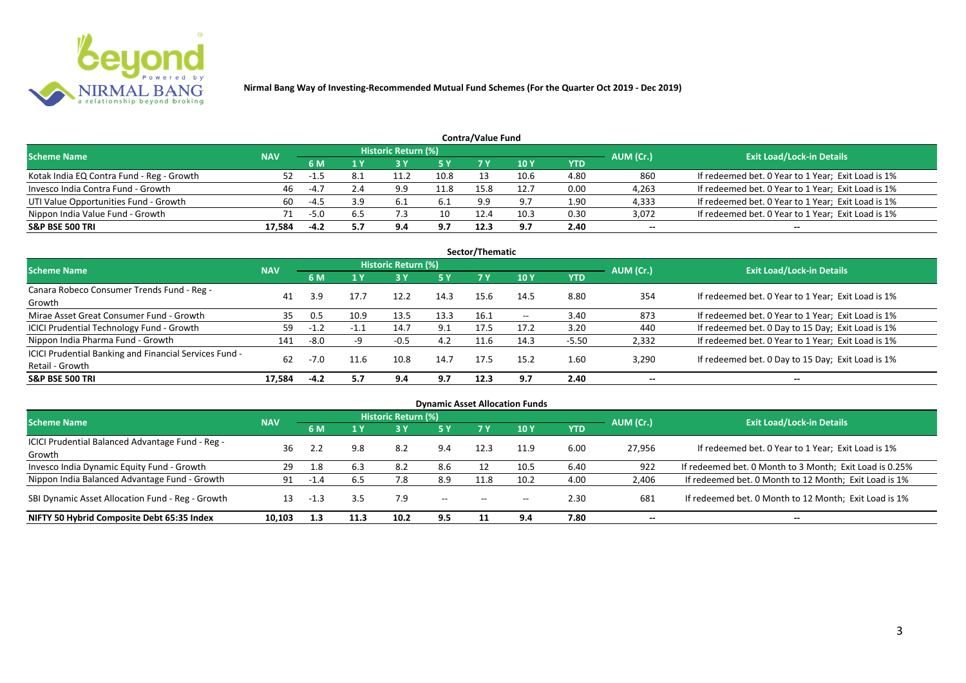

| Contra/Value Fund                         |            |        |     |                            |            |      |            |            |           |                                                    |  |  |  |  |
|-------------------------------------------|------------|--------|-----|----------------------------|------------|------|------------|------------|-----------|----------------------------------------------------|--|--|--|--|
| <b>Scheme Name</b>                        | <b>NAV</b> |        |     | <b>Historic Return (%)</b> |            |      |            |            | AUM (Cr.) | <b>Exit Load/Lock-in Details</b>                   |  |  |  |  |
|                                           |            | 6 M    |     |                            | <b>5 Y</b> | 7 V  | <b>10Y</b> | <b>YTD</b> |           |                                                    |  |  |  |  |
| Kotak India EQ Contra Fund - Reg - Growth | 52.        | -1.5   | 8.1 |                            | 10.8       |      | 10.6       | 4.80       | 860       | If redeemed bet. 0 Year to 1 Year; Exit Load is 1% |  |  |  |  |
| Invesco India Contra Fund - Growth        | 46         | $-4.7$ | 2.4 | 9.9                        | 11.8       | 15.8 | 12.7       | 0.00       | 4,263     | If redeemed bet. 0 Year to 1 Year; Exit Load is 1% |  |  |  |  |
| UTI Value Opportunities Fund - Growth     | 60.        | -4.5   | 3.9 | - 6.1                      | 6.1        | 9.9  | 9.7        | 1.90       | 4,333     | If redeemed bet. 0 Year to 1 Year; Exit Load is 1% |  |  |  |  |
| Nippon India Value Fund - Growth          |            | $-5.0$ | 6.5 |                            | 10         | 12.4 | 10.3       | 0.30       | 3,072     | If redeemed bet. 0 Year to 1 Year; Exit Load is 1% |  |  |  |  |
| <b>S&amp;P BSE 500 TRI</b>                | 17.584     | $-4.2$ | 5.7 | 9.4                        | 9.7        | 12.3 | 9.7        | 2.40       | $- -$     | $- -$                                              |  |  |  |  |

| Sector/Thematic                                        |            |        |        |                            |      |      |       |         |           |                                                    |  |  |  |
|--------------------------------------------------------|------------|--------|--------|----------------------------|------|------|-------|---------|-----------|----------------------------------------------------|--|--|--|
| Scheme Name                                            | <b>NAV</b> |        |        | <b>Historic Return (%)</b> |      |      |       |         | AUM (Cr.) | <b>Exit Load/Lock-in Details</b>                   |  |  |  |
|                                                        |            | 6 M    | 1Y     | 73 Y                       | 5 Y  | 7 Y  | 10Y   | YTD     |           |                                                    |  |  |  |
| Canara Robeco Consumer Trends Fund - Reg -             | 41         | 3.9    | 17.7   | 12.2                       | 14.3 | 15.6 | 14.5  | 8.80    | 354       | If redeemed bet. 0 Year to 1 Year; Exit Load is 1% |  |  |  |
| Growth                                                 |            |        |        |                            |      |      |       |         |           |                                                    |  |  |  |
| Mirae Asset Great Consumer Fund - Growth               | 35         | 0.5    | 10.9   | 13.5                       | 13.3 | 16.1 | $- -$ | 3.40    | 873       | If redeemed bet. 0 Year to 1 Year; Exit Load is 1% |  |  |  |
| <b>ICICI Prudential Technology Fund - Growth</b>       | 59         | $-1.2$ | $-1.1$ | 14.7                       | 9.1  | 17.5 | 17.2  | 3.20    | 440       | If redeemed bet. 0 Day to 15 Day; Exit Load is 1%  |  |  |  |
| Nippon India Pharma Fund - Growth                      | 141        | -8.0   | -9     | $-0.5$                     | 4.2  | 11.6 | 14.3  | $-5.50$ | 2,332     | If redeemed bet. 0 Year to 1 Year; Exit Load is 1% |  |  |  |
| ICICI Prudential Banking and Financial Services Fund - | 62         |        |        |                            |      |      |       |         |           |                                                    |  |  |  |
| Retail - Growth                                        |            | $-7.0$ |        | 10.8                       | 14.7 | 17.5 | 15.2  | 1.60    | 3,290     | If redeemed bet. 0 Day to 15 Day; Exit Load is 1%  |  |  |  |
| <b>S&amp;P BSE 500 TRI</b>                             | 17.584     | $-4.2$ | 5.7    | 9.4                        | 9.7  | 12.3 | 9.7   | 2.40    | --        | $- -$                                              |  |  |  |

| <b>Dynamic Asset Allocation Funds</b>                      |            |           |      |                            |                          |                          |                          |      |           |                                                         |  |  |  |
|------------------------------------------------------------|------------|-----------|------|----------------------------|--------------------------|--------------------------|--------------------------|------|-----------|---------------------------------------------------------|--|--|--|
| <b>Scheme Name</b>                                         | <b>NAV</b> |           |      | <b>Historic Return (%)</b> |                          |                          |                          |      | AUM (Cr.) | <b>Exit Load/Lock-in Details</b>                        |  |  |  |
|                                                            |            | <b>6M</b> | 1 Y  | <b>3 Y</b>                 | 5 Y                      | <b>7Y</b>                | <b>10Y</b>               | YTD  |           |                                                         |  |  |  |
| ICICI Prudential Balanced Advantage Fund - Reg -<br>Growth | 36         |           | 9.8  | 8.2                        | 9.4                      | 12.3                     | 11.9                     | 6.00 | 27,956    | If redeemed bet. 0 Year to 1 Year; Exit Load is 1%      |  |  |  |
| Invesco India Dynamic Equity Fund - Growth                 | 29         | 1.8       | 6.3  | 8.2                        | 8.6                      |                          | 10.5                     | 6.40 | 922       | If redeemed bet. 0 Month to 3 Month; Exit Load is 0.25% |  |  |  |
| Nippon India Balanced Advantage Fund - Growth              | 91         | $-1.4$    |      | 7.8                        | 8.9                      | 11.8                     | 10.2                     | 4.00 | 2,406     | If redeemed bet. 0 Month to 12 Month; Exit Load is 1%   |  |  |  |
| SBI Dynamic Asset Allocation Fund - Reg - Growth           | 13         | -1.3      | 3.5  | 7.9                        | $\overline{\phantom{a}}$ | $\overline{\phantom{a}}$ | $\overline{\phantom{a}}$ | 2.30 | 681       | If redeemed bet. 0 Month to 12 Month; Exit Load is 1%   |  |  |  |
| NIFTY 50 Hybrid Composite Debt 65:35 Index                 | 10,103     | 1.3       | 11.3 | 10.2                       | 9.5                      |                          | 9.4                      | 7.80 | $- -$     | $- -$                                                   |  |  |  |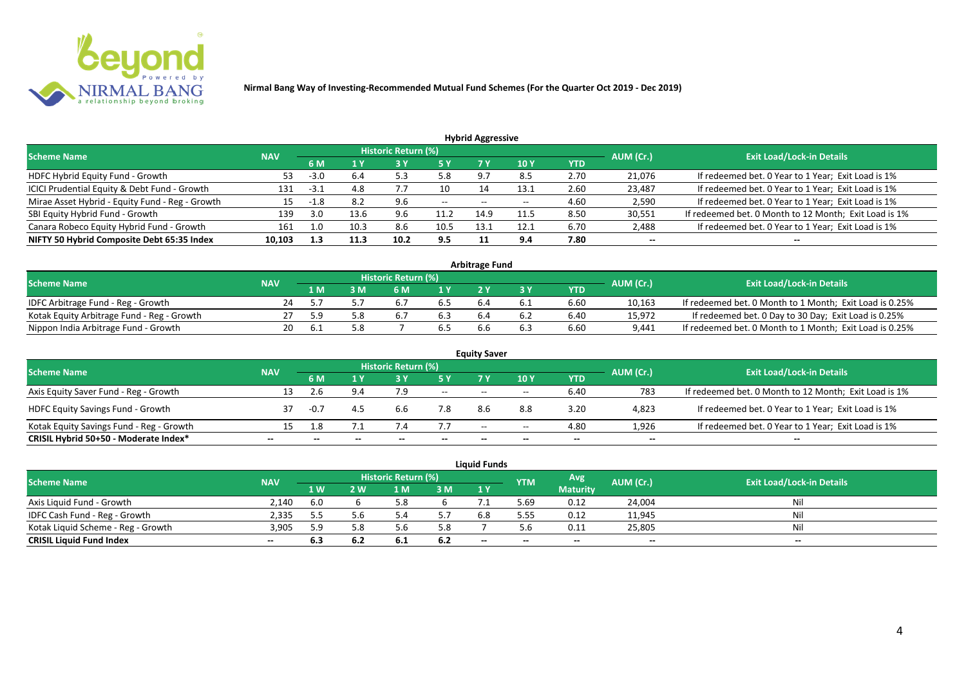

| <b>Hybrid Aggressive</b>                        |            |        |      |                            |                                                |       |       |            |           |                                                       |  |  |  |
|-------------------------------------------------|------------|--------|------|----------------------------|------------------------------------------------|-------|-------|------------|-----------|-------------------------------------------------------|--|--|--|
| <b>Scheme Name</b>                              | <b>NAV</b> |        |      | <b>Historic Return (%)</b> |                                                |       |       |            | AUM (Cr.) | <b>Exit Load/Lock-in Details</b>                      |  |  |  |
|                                                 |            | 6 M    | l Y  | 3 Y                        | 5 Y                                            |       | 10 Y  | <b>YTD</b> |           |                                                       |  |  |  |
| HDFC Hybrid Equity Fund - Growth                | 53         | $-3.0$ | 6.4  | 5.3                        | 5.8                                            | 9.7   | -8.5  | 2.70       | 21,076    | If redeemed bet. 0 Year to 1 Year; Exit Load is 1%    |  |  |  |
| ICICI Prudential Equity & Debt Fund - Growth    | 131        | $-3.1$ |      |                            | 10                                             |       | 13.1  | 2.60       | 23,487    | If redeemed bet. 0 Year to 1 Year; Exit Load is 1%    |  |  |  |
| Mirae Asset Hybrid - Equity Fund - Reg - Growth | 15.        | -1.8   | 8.2  | 9.6                        | $\hspace{0.1mm}-\hspace{0.1mm}-\hspace{0.1mm}$ | $- -$ | $- -$ | 4.60       | 2,590     | If redeemed bet. 0 Year to 1 Year; Exit Load is 1%    |  |  |  |
| SBI Equity Hybrid Fund - Growth                 | 139        | 3.0    | 13.6 | 9.6                        | 11.2                                           | 14.9  | 11.5  | 8.50       | 30,551    | If redeemed bet. 0 Month to 12 Month; Exit Load is 1% |  |  |  |
| Canara Robeco Equity Hybrid Fund - Growth       | 161        | 1.0    | 10.3 | 8.6                        | 10.5                                           | 13.1  | 12.1  | 6.70       | 2,488     | If redeemed bet. 0 Year to 1 Year; Exit Load is 1%    |  |  |  |
| NIFTY 50 Hybrid Composite Debt 65:35 Index      | 10,103     | 1.3    | 11.3 | 10.2                       | 9.5                                            |       | 9.4   | 7.80       | $- -$     | --                                                    |  |  |  |

| <b>Arbitrage Fund</b>                      |            |     |     |                            |                  |     |     |      |           |                                                         |  |  |  |
|--------------------------------------------|------------|-----|-----|----------------------------|------------------|-----|-----|------|-----------|---------------------------------------------------------|--|--|--|
| <b>Scheme Name</b>                         | <b>NAV</b> |     |     | <b>Historic Return (%)</b> |                  |     |     |      | AUM (Cr.) | <b>Exit Load/Lock-in Details</b>                        |  |  |  |
|                                            |            | L M | : M | 6 M                        | $\overline{1}$ Y |     |     | YTD  |           |                                                         |  |  |  |
| IDFC Arbitrage Fund - Reg - Growth         | 24         |     |     | b.,                        | ხ.5              | b.4 | b.1 | 6.60 | 10,163    | If redeemed bet. 0 Month to 1 Month; Exit Load is 0.25% |  |  |  |
| Kotak Equity Arbitrage Fund - Reg - Growth |            | 59  |     | b.                         |                  |     |     | 6.40 | 15,972    | If redeemed bet. 0 Day to 30 Day; Exit Load is 0.25%    |  |  |  |
| Nippon India Arbitrage Fund - Growth       |            |     |     |                            |                  | b.b |     | 6.60 | 9,441     | If redeemed bet. 0 Month to 1 Month; Exit Load is 0.25% |  |  |  |

|                                          |            |        |     | <b>Historic Return (%)</b> |       | <b>Equity Saver</b> |       |      |           |                                                       |
|------------------------------------------|------------|--------|-----|----------------------------|-------|---------------------|-------|------|-----------|-------------------------------------------------------|
| <b>Scheme Name</b>                       | <b>NAV</b> | 6 M    |     |                            | 5 Y   | 7 Y                 | 10Y   | YTD  | AUM (Cr.) | <b>Exit Load/Lock-in Details</b>                      |
| Axis Equity Saver Fund - Reg - Growth    | 13         |        | 9.4 |                            | $ -$  | $- -$               | $- -$ | 6.40 | 783       | If redeemed bet. 0 Month to 12 Month; Exit Load is 1% |
| <b>HDFC Equity Savings Fund - Growth</b> | 37         | $-0.7$ |     |                            | 7.8   |                     | 8.8   | 3.20 | 4,823     | If redeemed bet. 0 Year to 1 Year; Exit Load is 1%    |
| Kotak Equity Savings Fund - Reg - Growth | 15         | ⊥.8    |     |                            | 7.7   | $- -$               | $- -$ | 4.80 | 1.926     | If redeemed bet. 0 Year to 1 Year; Exit Load is 1%    |
| CRISIL Hybrid 50+50 - Moderate Index*    | --         |        |     |                            | $- -$ | --                  |       | $-$  | --        | $- -$                                                 |

|                                    |            |     |              |                     |     | <b>Liquid Funds</b> |            |                 |           |                                  |
|------------------------------------|------------|-----|--------------|---------------------|-----|---------------------|------------|-----------------|-----------|----------------------------------|
| <b>Scheme Name</b>                 | <b>NAV</b> |     |              | Historic Return (%) |     |                     | <b>YTM</b> | Avg.            | AUM (Cr.) | <b>Exit Load/Lock-in Details</b> |
|                                    |            | 1 W | $\mathbf{w}$ | ∣ M                 | 3 M | 1Y                  |            | <b>Maturity</b> |           |                                  |
| Axis Liquid Fund - Growth          | 2,140      | 6.0 |              |                     |     |                     | 5.69       | 0.12            | 24,004    | Nil                              |
| IDFC Cash Fund - Reg - Growth      | 2,335      |     | 5.6          |                     |     | 6.8                 | 5.55       | 0.12            | 11,945    | Nil                              |
| Kotak Liquid Scheme - Reg - Growth | 3,905      |     | 5.8          |                     | 5.8 |                     |            | 0.11            | 25,805    | Nil                              |
| <b>CRISIL Liquid Fund Index</b>    | $- -$      | 6.3 | -6.2         | -6.1                | 6.2 | $-$                 | $- -$      | $- -$           | $- -$     | $- -$                            |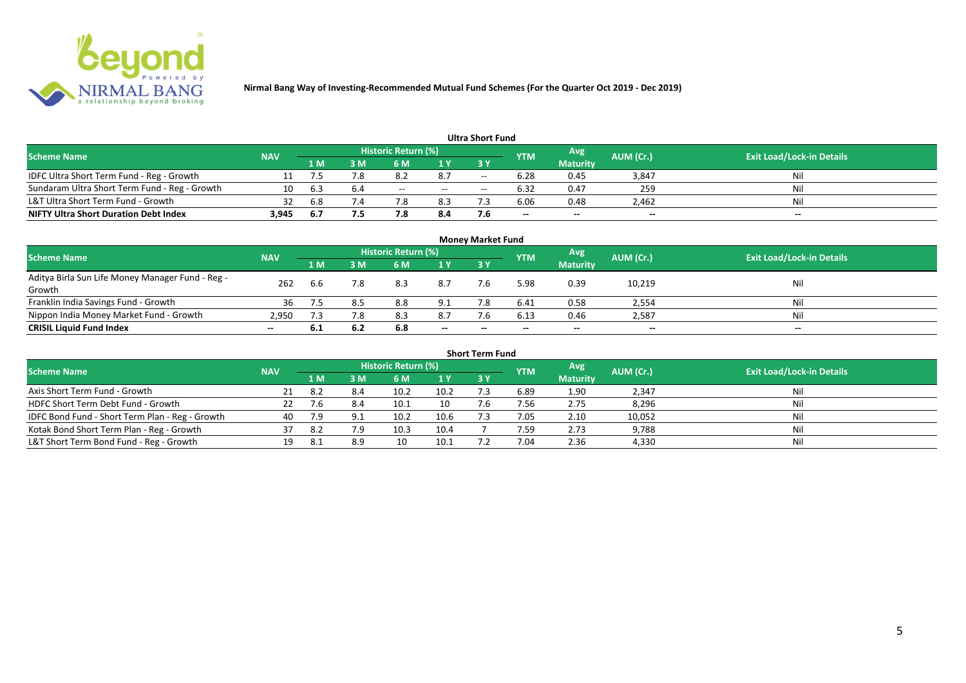

|                                               |            |      |            |                     |        | <b>Ultra Short Fund</b> |            |                 |           |                                  |
|-----------------------------------------------|------------|------|------------|---------------------|--------|-------------------------|------------|-----------------|-----------|----------------------------------|
| <b>Scheme Name</b>                            | <b>NAV</b> |      |            | Historic Return (%) |        |                         | <b>YTM</b> | Avg'            | AUM (Cr.) | <b>Exit Load/Lock-in Details</b> |
|                                               |            | 1 M  | 3 M        |                     | 1 Y    | <b>3Y</b>               |            | <b>Maturity</b> |           |                                  |
| IDFC Ultra Short Term Fund - Reg - Growth     |            |      |            |                     | 8.7    | $- -$                   | 6.28       | 0.45            | 3,847     | Nil                              |
| Sundaram Ultra Short Term Fund - Reg - Growth |            | b.3  |            | $- -$               | $\sim$ | $- -$                   | 6.32       | 0.47            | 259       | Nil                              |
| L&T Ultra Short Term Fund - Growth            | 32         | 6.8  | $\angle 4$ |                     | 8.3    |                         | 6.06       | 0.48            | 2.462     | Nil                              |
| <b>NIFTY Ultra Short Duration Debt Index</b>  | 3,945      | -6.7 | 7.5        |                     | 8.4    | 7.6                     | $- -$      | $- -$           | $- -$     | $\overline{\phantom{a}}$         |

|                                                            |            |     |     |                            |                          | <b>Money Market Fund</b> |            |                 |           |                                  |
|------------------------------------------------------------|------------|-----|-----|----------------------------|--------------------------|--------------------------|------------|-----------------|-----------|----------------------------------|
| <b>Scheme Name</b>                                         | <b>NAV</b> |     |     | <b>Historic Return (%)</b> |                          |                          | <b>YTM</b> | Avg             | AUM (Cr.) | <b>Exit Load/Lock-in Details</b> |
|                                                            |            | 1 M | 3 M | <b>6 M</b>                 | 1Y                       | 3Y                       |            | <b>Maturity</b> |           |                                  |
| Aditya Birla Sun Life Money Manager Fund - Reg -<br>Growth | 262        | 6.6 | 7.8 | 8.3                        | 8.7                      | 7.6                      | 5.98       | 0.39            | 10,219    | Nil                              |
| Franklin India Savings Fund - Growth                       | 36         |     |     | 8.8                        | 9.1                      |                          | 6.41       | 0.58            | 2,554     | Nil                              |
| Nippon India Money Market Fund - Growth                    | 2,950      |     | 7.8 | 8.3                        | 8.7                      | 7.6                      | 6.13       | 0.46            | 2,587     | Nil                              |
| <b>CRISIL Liquid Fund Index</b>                            | $- -$      | 6.1 | 6.2 | 6.8                        | $\overline{\phantom{a}}$ | $-$                      |            | $- -$           | $- -$     | $- -$                            |

|                                                 |            |       |     |                     |      | <b>Short Term Fund</b> |            |                 |           |                                  |
|-------------------------------------------------|------------|-------|-----|---------------------|------|------------------------|------------|-----------------|-----------|----------------------------------|
| <b>Scheme Name</b>                              | <b>NAV</b> |       |     | Historic Return (%) |      |                        | <b>YTM</b> | Avg             | AUM (Cr.) | <b>Exit Load/Lock-in Details</b> |
|                                                 |            | 1 M.  | 3 M | 6 M                 | 1Y   | <b>3 Y</b>             |            | <b>Maturity</b> |           |                                  |
| Axis Short Term Fund - Growth                   |            | -8.2  | 8.4 | 10.2                | 10.2 |                        | 6.89       | 1.90            | 2,347     | Nil                              |
| HDFC Short Term Debt Fund - Growth              |            |       | 8.4 | 10.1                | 10   |                        | 7.56       | 2.75            | 8,296     | Nil                              |
| IDFC Bond Fund - Short Term Plan - Reg - Growth | 40         | 7.9   |     | 10.2                | 10.6 |                        | 7.05       | 2.10            | 10,052    | Nil                              |
| Kotak Bond Short Term Plan - Reg - Growth       | 37         | 8.2   | 7.9 | 10.3                | 10.4 |                        | 7.59       | 2.73            | 9,788     | Nil                              |
| L&T Short Term Bond Fund - Reg - Growth         |            | - 8.1 |     | 10                  | 10.1 |                        | 7.04       | 2.36            | 4,330     | Nil                              |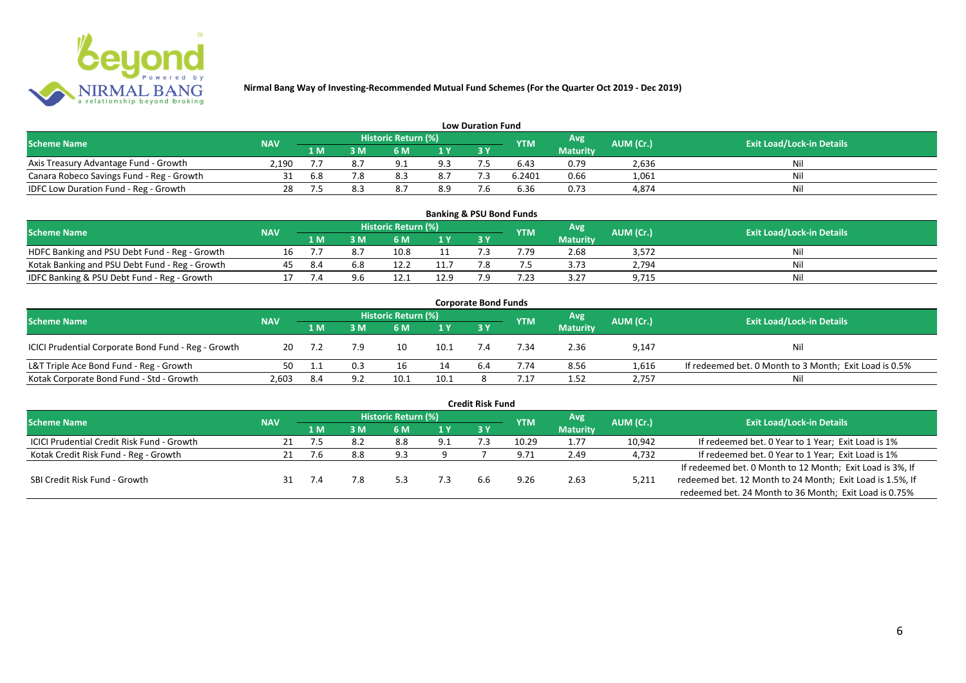

|                                           |                                                                      |     |                                  |           |     | <b>Low Duration Fund</b> |        |                 |       |     |
|-------------------------------------------|----------------------------------------------------------------------|-----|----------------------------------|-----------|-----|--------------------------|--------|-----------------|-------|-----|
| <b>Scheme Name</b>                        | Historic Return (%)<br>Avg'<br>AUM (Cr.)<br><b>NAV</b><br><b>YTM</b> |     | <b>Exit Load/Lock-in Details</b> |           |     |                          |        |                 |       |     |
|                                           |                                                                      | 1 M | sм                               | 6 M       | 1 Y | 3 Y                      |        | <b>Maturity</b> |       |     |
| Axis Treasury Advantage Fund - Growth     | 2.190                                                                |     |                                  | Q         | 9.3 |                          | 6.43   | 0.79            | 2,636 | Nil |
| Canara Robeco Savings Fund - Reg - Growth |                                                                      | 6.8 |                                  | <u>ິດ</u> | 8.7 |                          | 6.2401 | 0.66            | 1,061 | Nil |
| IDFC Low Duration Fund - Reg - Growth     |                                                                      |     |                                  | 8.7       | 8.9 | - -                      | 6.36   | 0.73            | 4,874 | Nil |

| <b>Banking &amp; PSU Bond Funds</b>            |            |     |     |                     |  |  |            |                 |           |                                  |  |  |  |
|------------------------------------------------|------------|-----|-----|---------------------|--|--|------------|-----------------|-----------|----------------------------------|--|--|--|
| <b>Scheme Name</b>                             | <b>NAV</b> |     |     | Historic Return (%) |  |  | <b>YTM</b> | Avg             | AUM (Cr.) | <b>Exit Load/Lock-in Details</b> |  |  |  |
|                                                |            | 1 M | ١M  | 6 M                 |  |  |            | <b>Maturity</b> |           |                                  |  |  |  |
| HDFC Banking and PSU Debt Fund - Reg - Growth  |            |     |     |                     |  |  | 7.79       | 2.68            | 3,572     | Nil                              |  |  |  |
| Kotak Banking and PSU Debt Fund - Reg - Growth |            |     | 6.8 |                     |  |  |            | 3.73            | 2,794     | Nil                              |  |  |  |
| IDFC Banking & PSU Debt Fund - Reg - Growth    |            |     | 9.6 |                     |  |  | 7.23       | 3.27            | 9,715     | Nil                              |  |  |  |

| <b>Corporate Bond Funds</b>                         |            |     |     |                     |      |    |            |                 |           |                                                        |  |  |  |  |
|-----------------------------------------------------|------------|-----|-----|---------------------|------|----|------------|-----------------|-----------|--------------------------------------------------------|--|--|--|--|
| <b>Scheme Name</b>                                  | <b>NAV</b> |     |     | Historic Return (%) |      |    | <b>YTM</b> | Avg'            | AUM (Cr.) | <b>Exit Load/Lock-in Details</b>                       |  |  |  |  |
|                                                     |            | 1 M | រ M | 6 M                 | 1 Y  | 3Y |            | <b>Maturity</b> |           |                                                        |  |  |  |  |
| ICICI Prudential Corporate Bond Fund - Reg - Growth | 20         |     | 7.9 |                     | 10.1 |    | '.34       | 2.36            | 9,147     | Nil                                                    |  |  |  |  |
| L&T Triple Ace Bond Fund - Reg - Growth             | 50.        |     | 0.3 |                     | 14   |    | 7.74       | 8.56            | 1,616     | If redeemed bet. 0 Month to 3 Month; Exit Load is 0.5% |  |  |  |  |
| Kotak Corporate Bond Fund - Std - Growth            | 2,603      | 8.4 |     | 10.1                | 10.1 |    | .17        | 1.52            | 2,757     | Nil                                                    |  |  |  |  |

|                                            |            |      |     |                            |      | <b>Credit Risk Fund</b> |       |                 |           |                                                           |
|--------------------------------------------|------------|------|-----|----------------------------|------|-------------------------|-------|-----------------|-----------|-----------------------------------------------------------|
| <b>Scheme Name</b>                         | <b>NAV</b> |      |     | <b>Historic Return (%)</b> |      |                         | YTM   | Avg             | AUM (Cr.) | <b>Exit Load/Lock-in Details</b>                          |
|                                            |            | 1 M. | 3 M | 6 M                        | '1 Y | 3 Y                     |       | <b>Maturity</b> |           |                                                           |
| ICICI Prudential Credit Risk Fund - Growth |            |      |     | 8.8                        | 9.1  |                         | 10.29 | 1.77            | 10,942    | If redeemed bet. 0 Year to 1 Year; Exit Load is 1%        |
| Kotak Credit Risk Fund - Reg - Growth      |            |      | 8.8 | 9.3                        |      |                         | 9.71  | 2.49            | 4,732     | If redeemed bet. 0 Year to 1 Year; Exit Load is 1%        |
|                                            |            |      |     |                            |      |                         |       |                 |           | If redeemed bet. 0 Month to 12 Month; Exit Load is 3%, If |
| SBI Credit Risk Fund - Growth              |            |      |     |                            | 7.3  | 6.b                     | 9.26  | 2.63            | 5,211     | redeemed bet. 12 Month to 24 Month; Exit Load is 1.5%, If |
|                                            |            |      |     |                            |      |                         |       |                 |           | redeemed bet. 24 Month to 36 Month; Exit Load is 0.75%    |